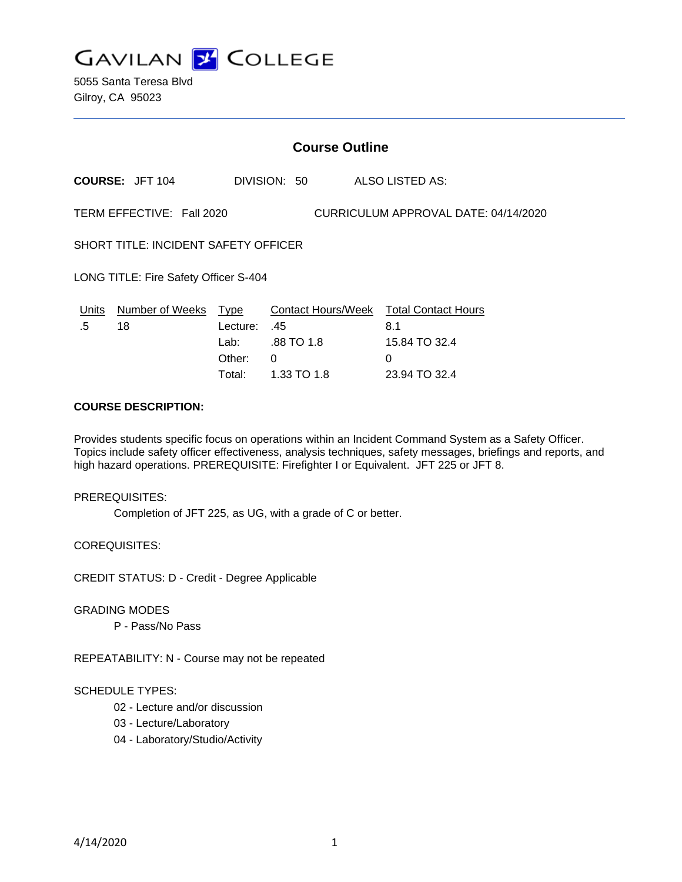

5055 Santa Teresa Blvd Gilroy, CA 95023

| <b>Course Outline</b>                                             |                        |                                                |                                           |                                                                                             |
|-------------------------------------------------------------------|------------------------|------------------------------------------------|-------------------------------------------|---------------------------------------------------------------------------------------------|
|                                                                   | <b>COURSE: JFT 104</b> |                                                | DIVISION: 50                              | ALSO LISTED AS:                                                                             |
| TERM EFFECTIVE: Fall 2020<br>CURRICULUM APPROVAL DATE: 04/14/2020 |                        |                                                |                                           |                                                                                             |
| <b>SHORT TITLE: INCIDENT SAFETY OFFICER</b>                       |                        |                                                |                                           |                                                                                             |
| LONG TITLE: Fire Safety Officer S-404                             |                        |                                                |                                           |                                                                                             |
| Units<br>.5                                                       | Number of Weeks<br>18  | Type<br>Lecture:<br>Lab: L<br>Other:<br>Total: | .45<br>.88 TO 1.8<br>0<br>$1.33$ TO $1.8$ | Contact Hours/Week Total Contact Hours<br>8.1<br>15.84 TO 32.4<br>$\Omega$<br>23.94 TO 32.4 |

## **COURSE DESCRIPTION:**

Provides students specific focus on operations within an Incident Command System as a Safety Officer. Topics include safety officer effectiveness, analysis techniques, safety messages, briefings and reports, and high hazard operations. PREREQUISITE: Firefighter I or Equivalent. JFT 225 or JFT 8.

PREREQUISITES:

Completion of JFT 225, as UG, with a grade of C or better.

COREQUISITES:

CREDIT STATUS: D - Credit - Degree Applicable

GRADING MODES

P - Pass/No Pass

REPEATABILITY: N - Course may not be repeated

### SCHEDULE TYPES:

- 02 Lecture and/or discussion
- 03 Lecture/Laboratory
- 04 Laboratory/Studio/Activity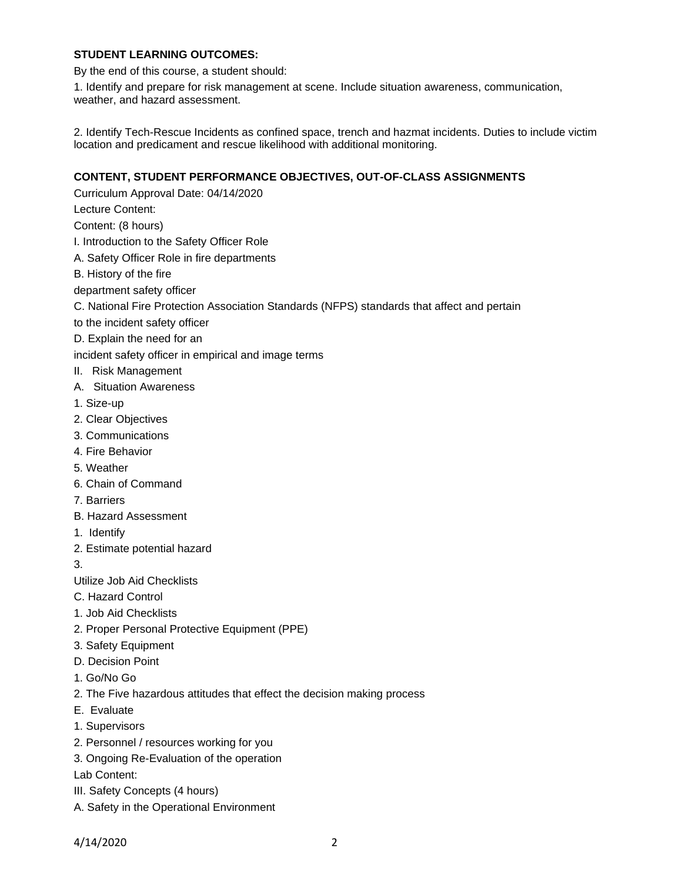# **STUDENT LEARNING OUTCOMES:**

By the end of this course, a student should:

1. Identify and prepare for risk management at scene. Include situation awareness, communication, weather, and hazard assessment.

2. Identify Tech-Rescue Incidents as confined space, trench and hazmat incidents. Duties to include victim location and predicament and rescue likelihood with additional monitoring.

## **CONTENT, STUDENT PERFORMANCE OBJECTIVES, OUT-OF-CLASS ASSIGNMENTS**

Curriculum Approval Date: 04/14/2020

Lecture Content:

Content: (8 hours)

- I. Introduction to the Safety Officer Role
- A. Safety Officer Role in fire departments
- B. History of the fire
- department safety officer
- C. National Fire Protection Association Standards (NFPS) standards that affect and pertain
- to the incident safety officer
- D. Explain the need for an

incident safety officer in empirical and image terms

- II. Risk Management
- A. Situation Awareness
- 1. Size-up
- 2. Clear Objectives
- 3. Communications
- 4. Fire Behavior
- 5. Weather
- 6. Chain of Command
- 7. Barriers
- B. Hazard Assessment
- 1. Identify
- 2. Estimate potential hazard

3.

- Utilize Job Aid Checklists
- C. Hazard Control
- 1. Job Aid Checklists
- 2. Proper Personal Protective Equipment (PPE)
- 3. Safety Equipment
- D. Decision Point
- 1. Go/No Go
- 2. The Five hazardous attitudes that effect the decision making process
- E. Evaluate
- 1. Supervisors
- 2. Personnel / resources working for you
- 3. Ongoing Re-Evaluation of the operation

Lab Content:

- III. Safety Concepts (4 hours)
- A. Safety in the Operational Environment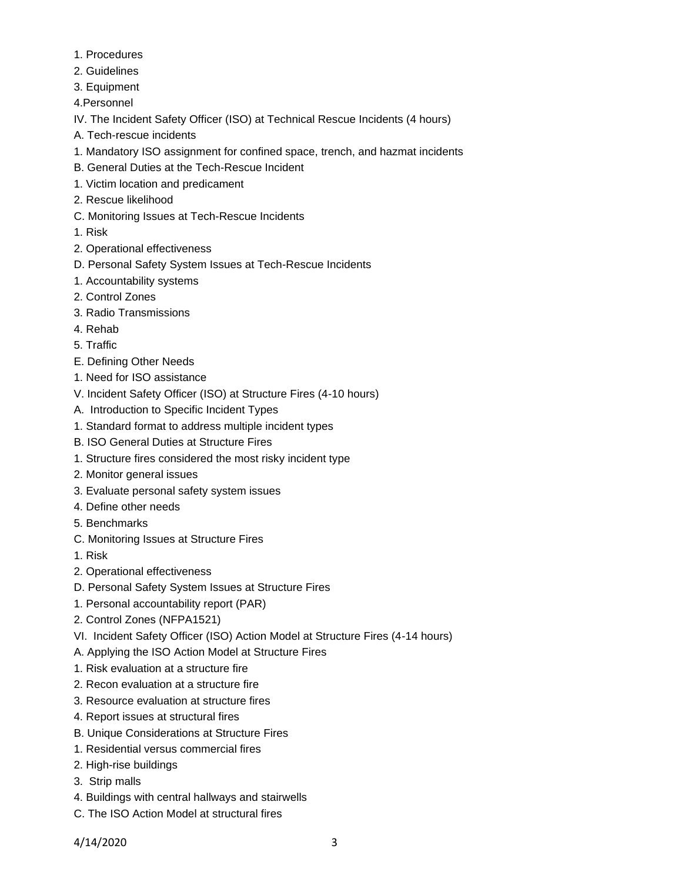- 1. Procedures
- 2. Guidelines
- 3. Equipment
- 4.Personnel
- IV. The Incident Safety Officer (ISO) at Technical Rescue Incidents (4 hours)
- A. Tech-rescue incidents
- 1. Mandatory ISO assignment for confined space, trench, and hazmat incidents
- B. General Duties at the Tech-Rescue Incident
- 1. Victim location and predicament
- 2. Rescue likelihood
- C. Monitoring Issues at Tech-Rescue Incidents
- 1. Risk
- 2. Operational effectiveness
- D. Personal Safety System Issues at Tech-Rescue Incidents
- 1. Accountability systems
- 2. Control Zones
- 3. Radio Transmissions
- 4. Rehab
- 5. Traffic
- E. Defining Other Needs
- 1. Need for ISO assistance
- V. Incident Safety Officer (ISO) at Structure Fires (4-10 hours)
- A. Introduction to Specific Incident Types
- 1. Standard format to address multiple incident types
- B. ISO General Duties at Structure Fires
- 1. Structure fires considered the most risky incident type
- 2. Monitor general issues
- 3. Evaluate personal safety system issues
- 4. Define other needs
- 5. Benchmarks
- C. Monitoring Issues at Structure Fires
- 1. Risk
- 2. Operational effectiveness
- D. Personal Safety System Issues at Structure Fires
- 1. Personal accountability report (PAR)
- 2. Control Zones (NFPA1521)
- VI. Incident Safety Officer (ISO) Action Model at Structure Fires (4-14 hours)
- A. Applying the ISO Action Model at Structure Fires
- 1. Risk evaluation at a structure fire
- 2. Recon evaluation at a structure fire
- 3. Resource evaluation at structure fires
- 4. Report issues at structural fires
- B. Unique Considerations at Structure Fires
- 1. Residential versus commercial fires
- 2. High-rise buildings
- 3. Strip malls
- 4. Buildings with central hallways and stairwells
- C. The ISO Action Model at structural fires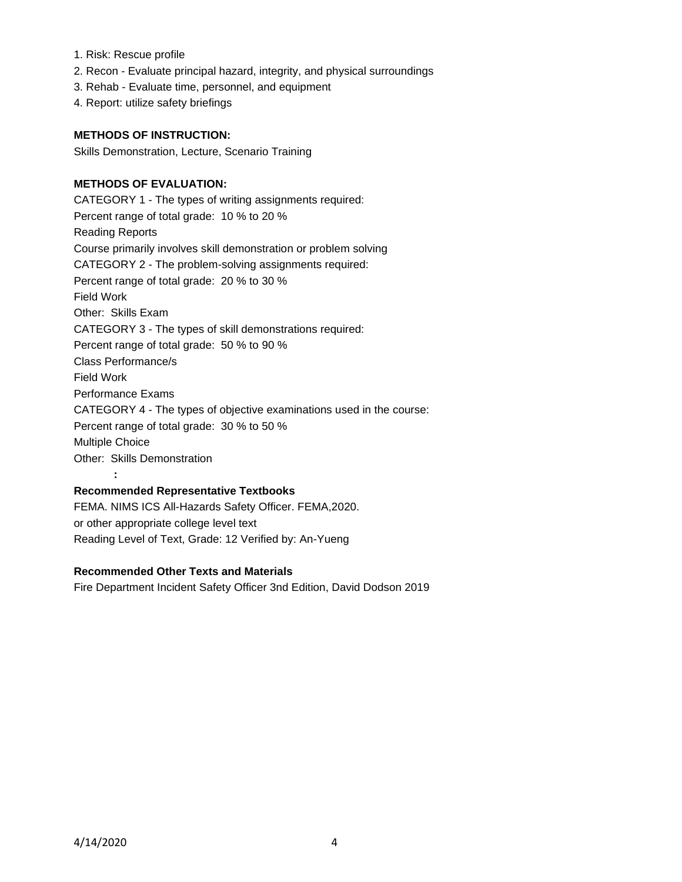- 1. Risk: Rescue profile
- 2. Recon Evaluate principal hazard, integrity, and physical surroundings
- 3. Rehab Evaluate time, personnel, and equipment
- 4. Report: utilize safety briefings

### **METHODS OF INSTRUCTION:**

Skills Demonstration, Lecture, Scenario Training

### **METHODS OF EVALUATION:**

CATEGORY 1 - The types of writing assignments required: Percent range of total grade: 10 % to 20 % Reading Reports Course primarily involves skill demonstration or problem solving CATEGORY 2 - The problem-solving assignments required: Percent range of total grade: 20 % to 30 % Field Work Other: Skills Exam CATEGORY 3 - The types of skill demonstrations required: Percent range of total grade: 50 % to 90 % Class Performance/s Field Work Performance Exams CATEGORY 4 - The types of objective examinations used in the course: Percent range of total grade: 30 % to 50 % Multiple Choice Other: Skills Demonstration **:**

### **Recommended Representative Textbooks**

FEMA. NIMS ICS All-Hazards Safety Officer. FEMA,2020. or other appropriate college level text Reading Level of Text, Grade: 12 Verified by: An-Yueng

## **Recommended Other Texts and Materials**

Fire Department Incident Safety Officer 3nd Edition, David Dodson 2019